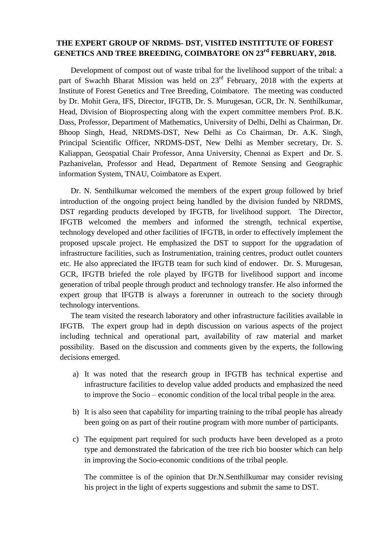## **THE EXPERT GROUP OF NRDMS- DST, VISITED INSTITTUTE OF FOREST GENETICS AND TREE BREEDING, COIMBATORE ON 23rd FEBRUARY, 2018.**

Development of compost out of waste tribal for the livelihood support of the tribal: a part of Swachh Bharat Mission was held on 23<sup>rd</sup> February, 2018 with the experts at Institute of Forest Genetics and Tree Breeding, Coimbatore. The meeting was conducted by Dr. Mohit Gera, IFS, Director, IFGTB, Dr. S. Murugesan, GCR, Dr. N. Senthilkumar, Head, Division of Bioprospecting along with the expert committee members Prof. B.K. Dass, Professor, Department of Mathematics, University of Delhi, Delhi as Chairman, Dr. Bhoop Singh, Head, NRDMS-DST, New Delhi as Co Chairman, Dr. A.K. Singh, Principal Scientific Officer, NRDMS-DST, New Delhi as Member secretary, Dr. S. Kaliappan, Geospatial Chair Professor, Anna University, Chennai as Expert and Dr. S. Pazhanivelan, Professor and Head, Department of Remote Sensing and Geographic information System, TNAU, Coimbatore as Expert.

Dr. N. Senthilkumar welcomed the members of the expert group followed by brief introduction of the ongoing project being handled by the division funded by NRDMS, DST regarding products developed by IFGTB, for livelihood support. The Director, IFGTB welcomed the members and informed the strength, technical expertise, technology developed and other facilities of IFGTB, in order to effectively implement the proposed upscale project. He emphasized the DST to support for the upgradation of infrastructure facilities, such as Instrumentation, training centres, product outlet counters etc. He also appreciated the IFGTB team for such kind of endower. Dr. S. Murugesan, GCR, IFGTB briefed the role played by IFGTB for livelihood support and income generation of tribal people through product and technology transfer. He also informed the expert group that IFGTB is always a forerunner in outreach to the society through technology interventions.

The team visited the research laboratory and other infrastructure facilities available in IFGTB. The expert group had in depth discussion on various aspects of the project including technical and operational part, availability of raw material and market possibility. Based on the discussion and comments given by the experts, the following decisions emerged.

- a) It was noted that the research group in IFGTB has technical expertise and infrastructure facilities to develop value added products and emphasized the need to improve the Socio – economic condition of the local tribal people in the area.
- b) It is also seen that capability for imparting training to the tribal people has already been going on as part of their routine program with more number of participants.
- c) The equipment part required for such products have been developed as a proto type and demonstrated the fabrication of the tree rich bio booster which can help in improving the Socio-economic conditions of the tribal people.

The committee is of the opinion that Dr.N.Senthilkumar may consider revising his project in the light of experts suggestions and submit the same to DST.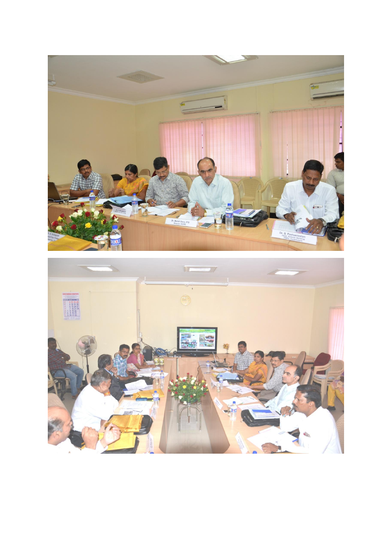